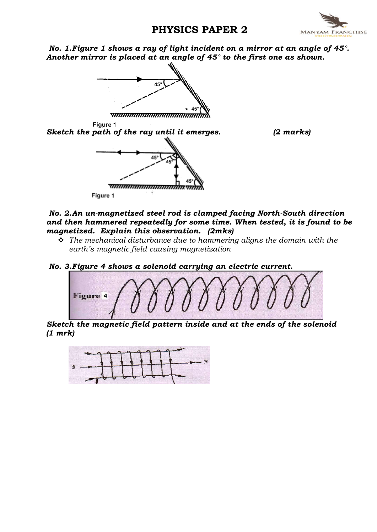# PHYSICS PAPER 2



No. 1.Figure 1 shows a ray of light incident on a mirror at an angle of 45°. Another mirror is placed at an angle of 45° to the first one as shown.



## No. 2.An un-magnetized steel rod is clamped facing North-South direction and then hammered repeatedly for some time. When tested, it is found to be magnetized. Explain this observation. (2mks)

- $\hat{\mathbf{v}}$  The mechanical disturbance due to hammering aligns the domain with the earth's magnetic field causing magnetization
- No. 3.Figure 4 shows a solenoid carrying an electric current.



Sketch the magnetic field pattern inside and at the ends of the solenoid (1 mrk)

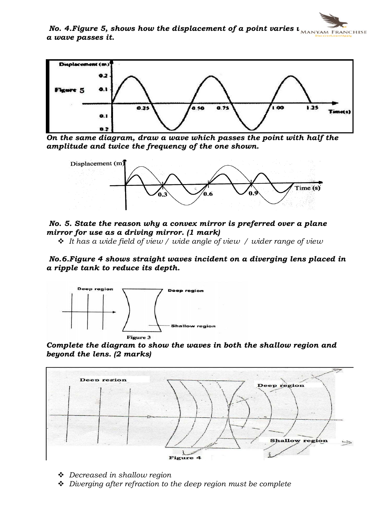No. 4. Figure 5, shows how the displacement of a point varies  $\iota_{\text{MANYAM FRMCHISE}}$ a wave passes it.

![](_page_1_Figure_1.jpeg)

On the same diagram, draw a wave which passes the point with half the amplitude and twice the frequency of the one shown.

![](_page_1_Figure_3.jpeg)

No. 5. State the reason why a convex mirror is preferred over a plane mirror for use as a driving mirror. (1 mark)

 $\cdot$  It has a wide field of view / wide angle of view / wider range of view

No.6.Figure 4 shows straight waves incident on a diverging lens placed in a ripple tank to reduce its depth.

![](_page_1_Figure_7.jpeg)

Complete the diagram to show the waves in both the shallow region and beyond the lens. (2 marks)

![](_page_1_Figure_9.jpeg)

 $\triangle$  Decreased in shallow region

 $\triangleq$  Diverging after refraction to the deep region must be complete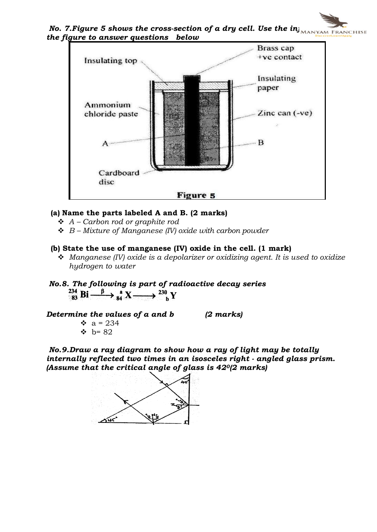No. 7. Figure 5 shows the cross-section of a dry cell. Use the in $\overline{\mathbf{u}}_{\text{MANYAM FRANCHISE}}$ the figure to answer questions below

![](_page_2_Figure_1.jpeg)

# (a) Name the parts labeled A and B. (2 marks)

- $\triangleleft$  A Carbon rod or graphite rod
- $\triangleleft$  B Mixture of Manganese (IV) oxide with carbon powder

#### (b) State the use of manganese (IV) oxide in the cell. (1 mark)

- $\triangleleft$  Manganese (IV) oxide is a depolarizer or oxidizing agent. It is used to oxidize hydrogen to water
- No.8. The following is part of radioactive decay series<br>  $\lim_{\delta s} \text{Bi} \xrightarrow{\beta} \lim_{\delta s} X \longrightarrow \lim_{\delta s} Y$

Determine the values of  $a$  and  $b$  (2 marks)

 $\bullet$  a = 234  $b = 82$ 

No.9.Draw a ray diagram to show how a ray of light may be totally internally reflected two times in an isosceles right - angled glass prism. (Assume that the critical angle of glass is 420(2 marks)

![](_page_2_Figure_12.jpeg)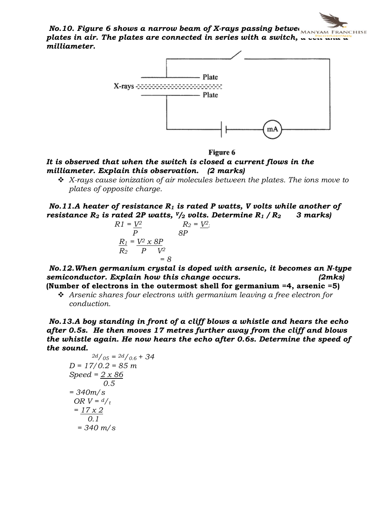No.10. Figure 6 shows a narrow beam of X-rays passing between  $\overline{\mathbf{M}}$ plates in air. The plates are connected in series with a switch,  $\alpha$  cell and  $\alpha$ milliameter.

![](_page_3_Figure_1.jpeg)

Figure 6

# It is observed that when the switch is closed a current flows in the milliameter. Explain this observation. (2 marks)

 $\div$  X-rays cause ionization of air molecules between the plates. The ions move to plates of opposite charge.

No.11.A heater of resistance  $R_1$  is rated P watts, V volts while another of resistance  $R_2$  is rated 2P watts,  $V/2$  volts. Determine  $R_1/R_2$  3 marks)

$$
R1 = \underline{V^2}
$$
  
\n
$$
R2 = \underline{V^2}
$$
  
\n
$$
\underline{R_1} = \underline{V^2} \times \underline{8P}
$$
  
\n
$$
R_2 = \underline{V^2}
$$
  
\n
$$
P
$$
  
\n
$$
V^2
$$
  
\n
$$
= 8
$$

No.12.When germanium crystal is doped with arsenic, it becomes an N-type semiconductor. Explain how this change occurs. (2mks)

(Number of electrons in the outermost shell for germanium =4, arsenic =5)  $\hat{\mathbf{v}}$  Arsenic shares four electrons with germanium leaving a free electron for conduction.

No.13.A boy standing in front of a cliff blows a whistle and hears the echo after 0.5s. He then moves 17 metres further away from the cliff and blows the whistle again. He now hears the echo after 0.6s. Determine the speed of the sound.

$$
2d/_{05} = 2d/_{0.6} + 34
$$
  

$$
D = 17/0.2 = 85 \text{ m}
$$
  
Speed = 2 x 86  
0.5  

$$
= 340 \text{ m/s}
$$
  
OR V =  $d/_{t}$   

$$
= \frac{17 \text{ x } 2}{0.1}
$$
  

$$
= 340 \text{ m/s}
$$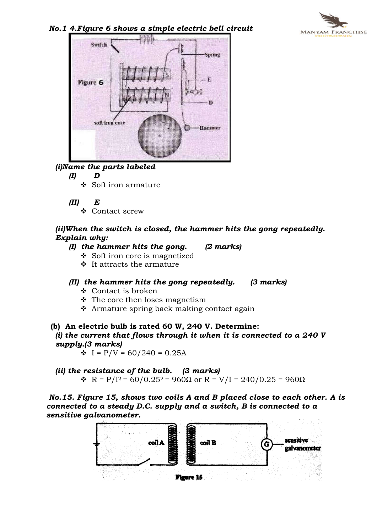![](_page_4_Picture_0.jpeg)

#### No.1 4.Figure 6 shows a simple electric bell circuit

![](_page_4_Picture_2.jpeg)

# (i)Name the parts labeled

#### (I) D

- $\div$  Soft iron armature
- (II) E
	- ❖ Contact screw

#### (ii)When the switch is closed, the hammer hits the gong repeatedly. Explain why:

- $(I)$  the hammer hits the gong.  $(2 \text{ marks})$ 
	-
	- $\div$  Soft iron core is magnetized  $\div$  It attracts the armature
- (II) the hammer hits the gong repeatedly. (3 marks)
	- $\div$  Contact is broken
	- $\cdot$  The core then loses magnetism
	- $\triangle$  Armature spring back making contact again
- (b) An electric bulb is rated 60 W, 240 V. Determine: (i) the current that flows through it when it is connected to a 240  $V$ supply.(3 marks)

 $\div I = P/V = 60/240 = 0.25A$ 

(ii) the resistance of the bulb. (3 marks)  $\mathbf{\hat{R}}$  R = P/I<sup>2</sup> = 60/0.25<sup>2</sup> = 960Ω or R = V/I = 240/0.25 = 960Ω

No.15. Figure 15, shows two coils A and B placed close to each other. A is connected to a steady D.C. supply and a switch, B is connected to a sensitive galvanometer.

![](_page_4_Figure_20.jpeg)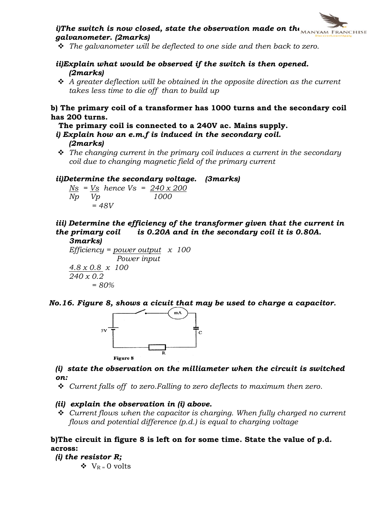![](_page_5_Picture_0.jpeg)

- $\hat{v}$  The galvanometer will be deflected to one side and then back to zero.
- ii)Explain what would be observed if the switch is then opened. (2marks)
- $\triangle$  A greater deflection will be obtained in the opposite direction as the current takes less time to die off than to build up

#### b) The primary coil of a transformer has 1000 turns and the secondary coil has 200 turns.

The primary coil is connected to a 240V ac. Mains supply.

- i) Explain how an e.m.f is induced in the secondary coil. (2marks)
- $\hat{\mathbf{v}}$  The changing current in the primary coil induces a current in the secondary coil due to changing magnetic field of the primary current

ii)Determine the secondary voltage. (3marks)

 $N_s$  =  $V_s$  hence  $V_s$  =  $240 \times 200$ Np Vp 1000  $= 48V$ 

iii) Determine the efficiency of the transformer given that the current in the primary coil is  $0.20A$  and in the secondary coil it is  $0.80A$ .

3marks) Efficiency =  $power$  output  $x$  100 Power input 4.8 x 0.8 x 100 240 x 0.2  $= 80%$ 

No.16. Figure 8, shows a cicuit that may be used to charge a capacitor.

![](_page_5_Figure_13.jpeg)

## (i) state the observation on the milliameter when the circuit is switched on:

 $\div$  Current falls off to zero. Falling to zero deflects to maximum then zero.

(ii) explain the observation in (i) above.

 $\div$  Current flows when the capacitor is charging. When fully charged no current flows and potential difference (p.d.) is equal to charging voltage

#### b)The circuit in figure 8 is left on for some time. State the value of p.d. across:

- (i) the resistor  $R$ ;
	- $\bullet$  V<sub>R</sub> = 0 volts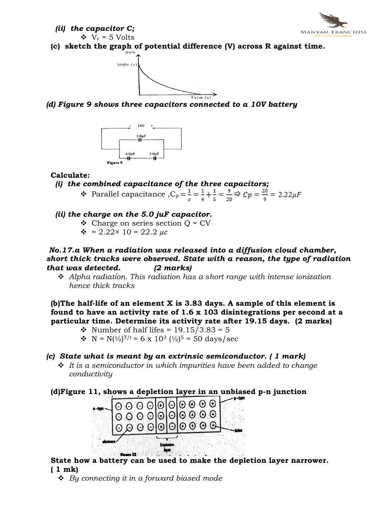![](_page_6_Picture_0.jpeg)

(ii) the capacitor C;

 $V_c = 5$  Volts

(c) sketch the graph of potential difference (V) across R against time.

![](_page_6_Figure_4.jpeg)

(d) Figure 9 shows three capacitors connected to a 10V battery

![](_page_6_Figure_6.jpeg)

## Calculate:

- (i) the combined capacitance of the three capacitors; • Parallel capacitance  $C_p = \frac{1}{a} = \frac{1}{4} + \frac{1}{5} = \frac{9}{20} \Rightarrow C_p = \frac{20}{9} = 2.22 \mu F$
- (ii) the charge on the 5.0 juF capacitor.
	- $\triangleleft$  Charge on series section Q = CV
	- $\div$  = 2.22× 10 = 22.2 µc

No.17.a When a radiation was released into a diffusion cloud chamber, short thick tracks were observed. State with a reason, the type of radiation that was detected. (2 marks)

 $\triangleleft$  Alpha radiation. This radiation has a short range with intense ionization hence thick tracks

(b)The half-life of an element X is 3.83 days. A sample of this element is found to have an activity rate of 1.6 x 103 disintegrations per second at a particular time. Determine its activity rate after 19.15 days. (2 marks)

- Number of half lifes =  $19.15/3.83 = 5$
- N =  $N(\frac{1}{2})^{T/t}$  = 6 x 10<sup>3</sup> ( $\frac{1}{2}$ )<sup>5</sup> = 50 days/sec

# (c) State what is meant by an extrinsic semiconductor. ( 1 mark)

 $\div$  It is a semiconductor in which impurities have been added to change conductivity

(d)Figure 11, shows a depletion layer in an unbiased p-n junction

![](_page_6_Figure_20.jpeg)

State how a battery can be used to make the depletion layer narrower. ( 1 mk)

 $\div$  By connecting it in a forward biased mode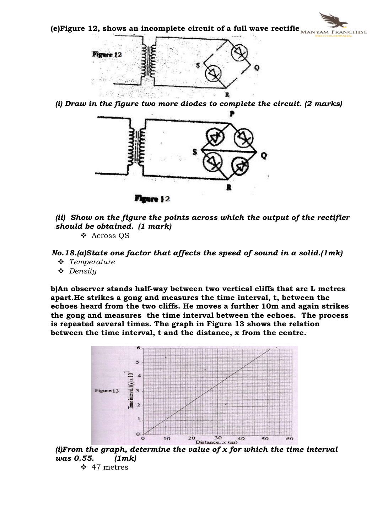(e)Figure 12, shows an incomplete circuit of a full wave rectifie $\overline{\text{MANYAM FRMCHISE}}$ 

![](_page_7_Figure_1.jpeg)

(i) Draw in the figure two more diodes to complete the circuit. (2 marks)

![](_page_7_Figure_3.jpeg)

(ii) Show on the figure the points across which the output of the rectifier should be obtained. (1 mark) v Across QS

No.18.(a)State one factor that affects the speed of sound in a solid.(1mk)

- $\div$  Temperature
- $\triangle$  Density

b)An observer stands half-way between two vertical cliffs that are L metres apart.He strikes a gong and measures the time interval, t, between the echoes heard from the two cliffs. He moves a further 10m and again strikes the gong and measures the time interval between the echoes. The process is repeated several times. The graph in Figure 13 shows the relation between the time interval, t and the distance, x from the centre.

![](_page_7_Figure_9.jpeg)

(i)From the graph, determine the value of  $x$  for which the time interval was 0.55. (1mk)

 $\div$  47 metres